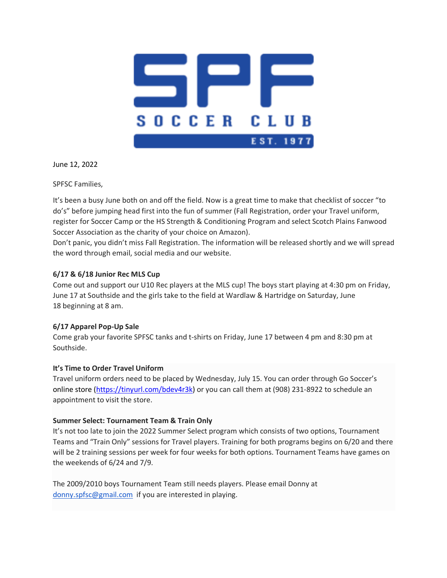

June 12, 2022

SPFSC Families,

It's been a busy June both on and off the field. Now is a great time to make that checklist of soccer "to do's" before jumping head first into the fun of summer (Fall Registration, order your Travel uniform, register for Soccer Camp or the HS Strength & Conditioning Program and select Scotch Plains Fanwood Soccer Association as the charity of your choice on Amazon).

Don't panic, you didn't miss Fall Registration. The information will be released shortly and we will spread the word through email, social media and our website.

# **6/17 & 6/18 Junior Rec MLS Cup**

Come out and support our U10 Rec players at the MLS cup! The boys start playing at 4:30 pm on Friday, June 17 at Southside and the girls take to the field at Wardlaw & Hartridge on Saturday, June 18 beginning at 8 am.

# **6/17 Apparel Pop-Up Sale**

Come grab your favorite SPFSC tanks and t-shirts on Friday, June 17 between 4 pm and 8:30 pm at Southside.

### **It's Time to Order Travel Uniform**

Travel uniform orders need to be placed by Wednesday, July 15. You can order through Go Soccer's online store (https://tinyurl.com/bdev4r3k) or you can call them at (908) 231-8922 to schedule an appointment to visit the store.

### **Summer Select: Tournament Team & Train Only**

It's not too late to join the 2022 Summer Select program which consists of two options, Tournament Teams and "Train Only" sessions for Travel players. Training for both programs begins on 6/20 and there will be 2 training sessions per week for four weeks for both options. Tournament Teams have games on the weekends of 6/24 and 7/9.

The 2009/2010 boys Tournament Team still needs players. Please email Donny at donny.spfsc@gmail.com if you are interested in playing.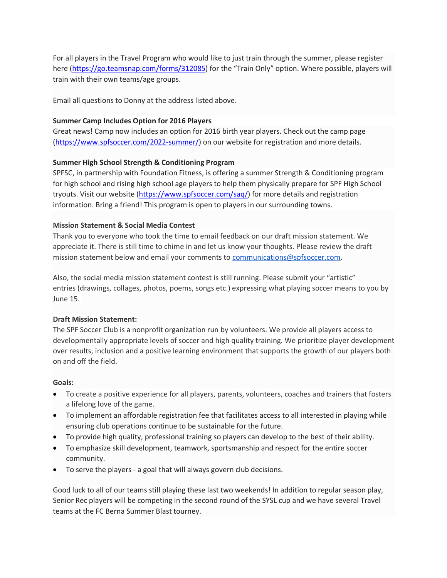For all players in the Travel Program who would like to just train through the summer, please register here (https://go.teamsnap.com/forms/312085) for the "Train Only" option. Where possible, players will train with their own teams/age groups.

Email all questions to Donny at the address listed above.

### **Summer Camp Includes Option for 2016 Players**

Great news! Camp now includes an option for 2016 birth year players. Check out the camp page (https://www.spfsoccer.com/2022-summer/) on our website for registration and more details.

## **Summer High School Strength & Conditioning Program**

SPFSC, in partnership with Foundation Fitness, is offering a summer Strength & Conditioning program for high school and rising high school age players to help them physically prepare for SPF High School tryouts. Visit our website (https://www.spfsoccer.com/saq/) for more details and registration information. Bring a friend! This program is open to players in our surrounding towns.

## **Mission Statement & Social Media Contest**

Thank you to everyone who took the time to email feedback on our draft mission statement. We appreciate it. There is still time to chime in and let us know your thoughts. Please review the draft mission statement below and email your comments to communications@spfsoccer.com.

Also, the social media mission statement contest is still running. Please submit your "artistic" entries (drawings, collages, photos, poems, songs etc.) expressing what playing soccer means to you by June 15.

# **Draft Mission Statement:**

The SPF Soccer Club is a nonprofit organization run by volunteers. We provide all players access to developmentally appropriate levels of soccer and high quality training. We prioritize player development over results, inclusion and a positive learning environment that supports the growth of our players both on and off the field.

### **Goals:**

- To create a positive experience for all players, parents, volunteers, coaches and trainers that fosters a lifelong love of the game.
- To implement an affordable registration fee that facilitates access to all interested in playing while ensuring club operations continue to be sustainable for the future.
- To provide high quality, professional training so players can develop to the best of their ability.
- To emphasize skill development, teamwork, sportsmanship and respect for the entire soccer community.
- To serve the players a goal that will always govern club decisions.

Good luck to all of our teams still playing these last two weekends! In addition to regular season play, Senior Rec players will be competing in the second round of the SYSL cup and we have several Travel teams at the FC Berna Summer Blast tourney.